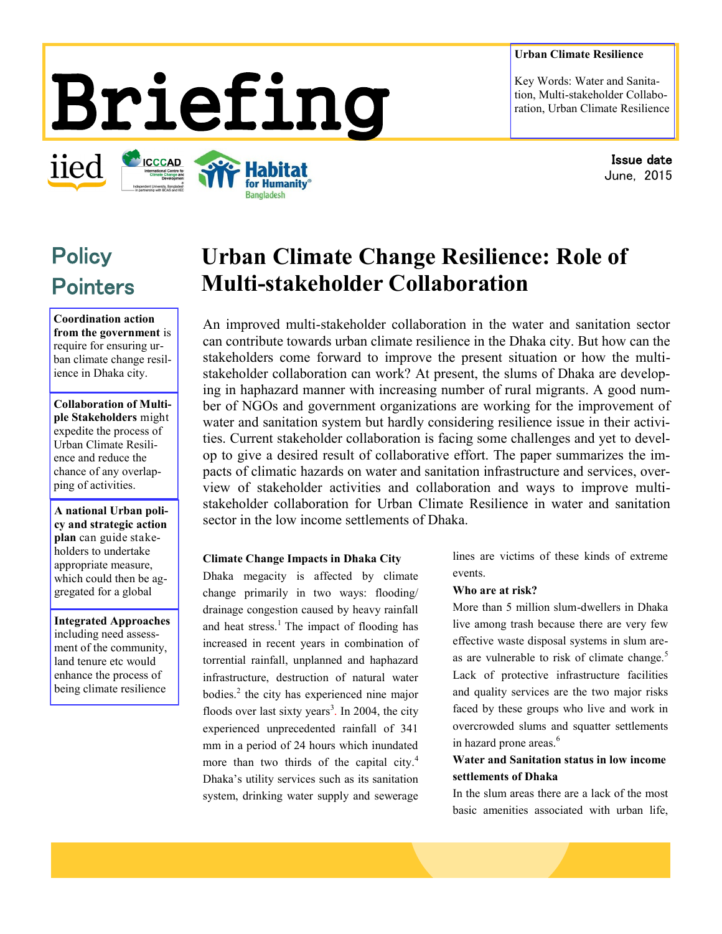## **Urban Climate Resilience**

Key Words: Water and Sanitation, Multi-stakeholder Collaboration, Urban Climate Resilience

> Issue date June, 2015

# Briefing

for Humanity **Bangladesh** 

**ICCCAD** 

**Policy Pointers** 

iied

**Coordination action from the government** is require for ensuring urban climate change resilience in Dhaka city.

**Collaboration of Multiple Stakeholders** might expedite the process of Urban Climate Resilience and reduce the chance of any overlapping of activities.

**A national Urban policy and strategic action plan** can guide stakeholders to undertake appropriate measure, which could then be aggregated for a global

**Integrated Approaches**  including need assessment of the community, land tenure etc would enhance the process of being climate resilience

# **Urban Climate Change Resilience: Role of Multi-stakeholder Collaboration**

An improved multi-stakeholder collaboration in the water and sanitation sector can contribute towards urban climate resilience in the Dhaka city. But how can the stakeholders come forward to improve the present situation or how the multistakeholder collaboration can work? At present, the slums of Dhaka are developing in haphazard manner with increasing number of rural migrants. A good number of NGOs and government organizations are working for the improvement of water and sanitation system but hardly considering resilience issue in their activities. Current stakeholder collaboration is facing some challenges and yet to develop to give a desired result of collaborative effort. The paper summarizes the impacts of climatic hazards on water and sanitation infrastructure and services, overview of stakeholder activities and collaboration and ways to improve multistakeholder collaboration for Urban Climate Resilience in water and sanitation sector in the low income settlements of Dhaka.

#### **Climate Change Impacts in Dhaka City**

Dhaka megacity is affected by climate change primarily in two ways: flooding/ drainage congestion caused by heavy rainfall and heat stress. $<sup>1</sup>$  The impact of flooding has</sup> increased in recent years in combination of torrential rainfall, unplanned and haphazard infrastructure, destruction of natural water bodies.<sup>2</sup> the city has experienced nine major floods over last sixty years<sup>3</sup>. In 2004, the city experienced unprecedented rainfall of 341 mm in a period of 24 hours which inundated more than two thirds of the capital city.<sup>4</sup> Dhaka's utility services such as its sanitation system, drinking water supply and sewerage

lines are victims of these kinds of extreme events.

#### **Who are at risk?**

More than 5 million slum-dwellers in Dhaka live among trash because there are very few effective waste disposal systems in slum areas are vulnerable to risk of climate change.<sup>5</sup> Lack of protective infrastructure facilities and quality services are the two major risks faced by these groups who live and work in overcrowded slums and squatter settlements in hazard prone areas.<sup>6</sup>

**Water and Sanitation status in low income settlements of Dhaka**

In the slum areas there are a lack of the most basic amenities associated with urban life,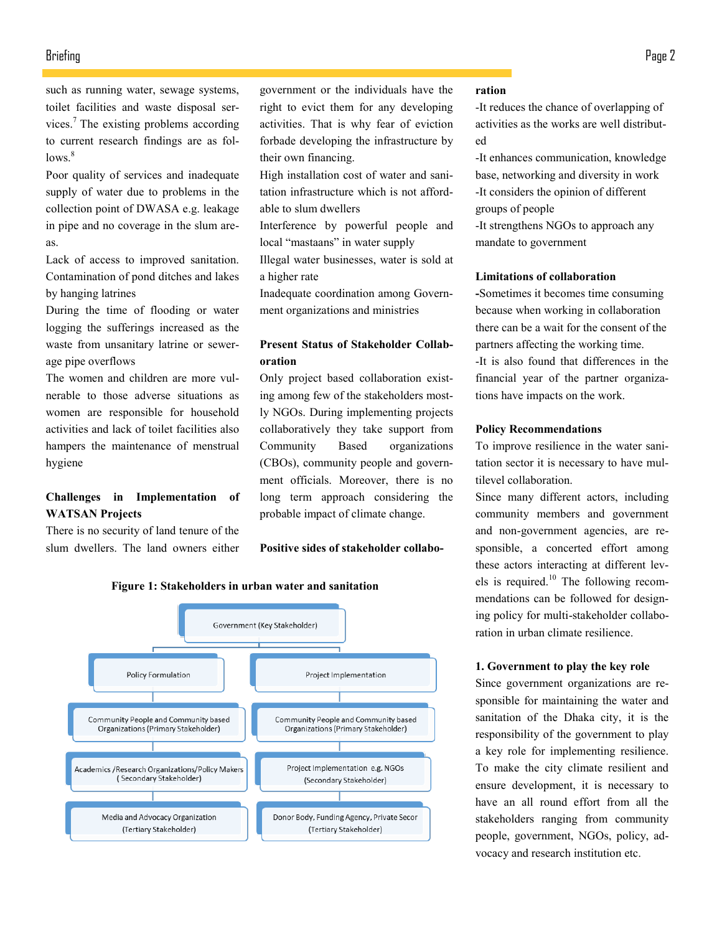# Briefing Page 2

such as running water, sewage systems, toilet facilities and waste disposal services.<sup>7</sup> The existing problems according to current research findings are as fol $lows.<sup>8</sup>$ 

Poor quality of services and inadequate supply of water due to problems in the collection point of DWASA e.g. leakage in pipe and no coverage in the slum areas.

Lack of access to improved sanitation. Contamination of pond ditches and lakes by hanging latrines

During the time of flooding or water logging the sufferings increased as the waste from unsanitary latrine or sewerage pipe overflows

The women and children are more vulnerable to those adverse situations as women are responsible for household activities and lack of toilet facilities also hampers the maintenance of menstrual hygiene

# **Challenges in Implementation of WATSAN Projects**

There is no security of land tenure of the slum dwellers. The land owners either government or the individuals have the right to evict them for any developing activities. That is why fear of eviction forbade developing the infrastructure by their own financing.

High installation cost of water and sanitation infrastructure which is not affordable to slum dwellers

Interference by powerful people and local "mastaans" in water supply

Illegal water businesses, water is sold at a higher rate

Inadequate coordination among Government organizations and ministries

# **Present Status of Stakeholder Collaboration**

Only project based collaboration existing among few of the stakeholders mostly NGOs. During implementing projects collaboratively they take support from Community Based organizations (CBOs), community people and government officials. Moreover, there is no long term approach considering the probable impact of climate change.

#### **Positive sides of stakeholder collabo-**



#### **Figure 1: Stakeholders in urban water and sanitation**

#### **ration**

-It reduces the chance of overlapping of activities as the works are well distributed

-It enhances communication, knowledge base, networking and diversity in work -It considers the opinion of different groups of people

-It strengthens NGOs to approach any mandate to government

#### **Limitations of collaboration**

**-**Sometimes it becomes time consuming because when working in collaboration there can be a wait for the consent of the partners affecting the working time. -It is also found that differences in the financial year of the partner organizations have impacts on the work.

#### **Policy Recommendations**

To improve resilience in the water sanitation sector it is necessary to have multilevel collaboration.

Since many different actors, including community members and government and non-government agencies, are responsible, a concerted effort among these actors interacting at different levels is required.<sup>10</sup> The following recommendations can be followed for designing policy for multi-stakeholder collaboration in urban climate resilience.

#### **1. Government to play the key role**

Since government organizations are responsible for maintaining the water and sanitation of the Dhaka city, it is the responsibility of the government to play a key role for implementing resilience. To make the city climate resilient and ensure development, it is necessary to have an all round effort from all the stakeholders ranging from community people, government, NGOs, policy, advocacy and research institution etc.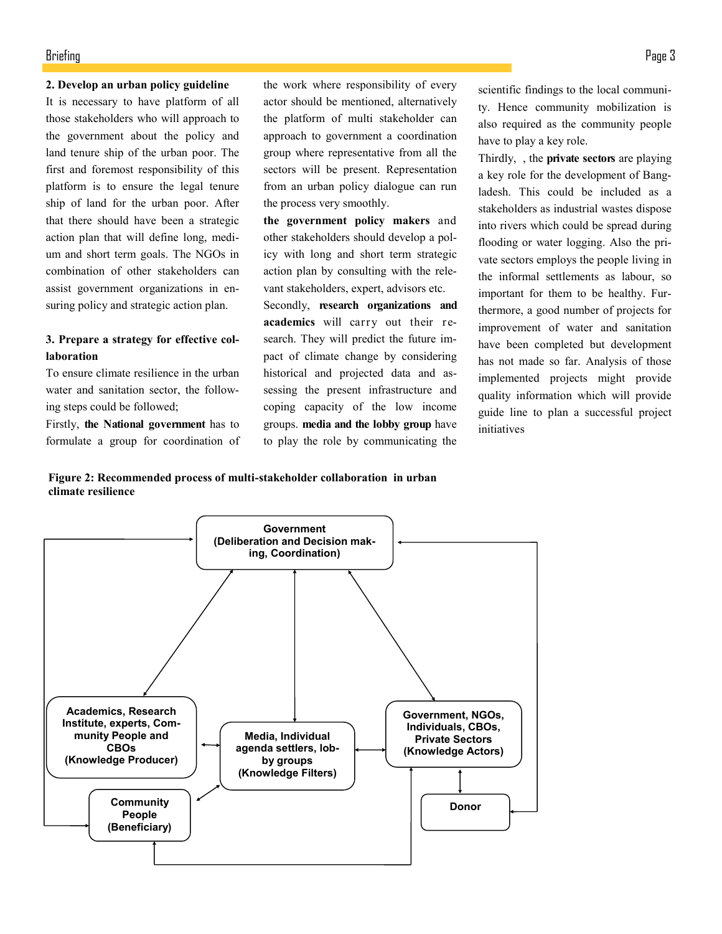# Briefing Page 3

#### **2. Develop an urban policy guideline**

It is necessary to have platform of all those stakeholders who will approach to the government about the policy and land tenure ship of the urban poor. The first and foremost responsibility of this platform is to ensure the legal tenure ship of land for the urban poor. After that there should have been a strategic action plan that will define long, medium and short term goals. The NGOs in combination of other stakeholders can assist government organizations in ensuring policy and strategic action plan.

# **3. Prepare a strategy for effective collaboration**

To ensure climate resilience in the urban water and sanitation sector, the following steps could be followed;

Firstly, **the National government** has to formulate a group for coordination of the work where responsibility of every actor should be mentioned, alternatively the platform of multi stakeholder can approach to government a coordination group where representative from all the sectors will be present. Representation from an urban policy dialogue can run the process very smoothly.

**the government policy makers** and other stakeholders should develop a policy with long and short term strategic action plan by consulting with the relevant stakeholders, expert, advisors etc.

Secondly, **research organizations and academics** will carry out their research. They will predict the future impact of climate change by considering historical and projected data and assessing the present infrastructure and coping capacity of the low income groups. **media and the lobby group** have to play the role by communicating the

scientific findings to the local community. Hence community mobilization is also required as the community people have to play a key role.

Thirdly, , the **private sectors** are playing a key role for the development of Bangladesh. This could be included as a stakeholders as industrial wastes dispose into rivers which could be spread during flooding or water logging. Also the private sectors employs the people living in the informal settlements as labour, so important for them to be healthy. Furthermore, a good number of projects for improvement of water and sanitation have been completed but development has not made so far. Analysis of those implemented projects might provide quality information which will provide guide line to plan a successful project initiatives

**Figure 2: Recommended process of multi-stakeholder collaboration in urban climate resilience**